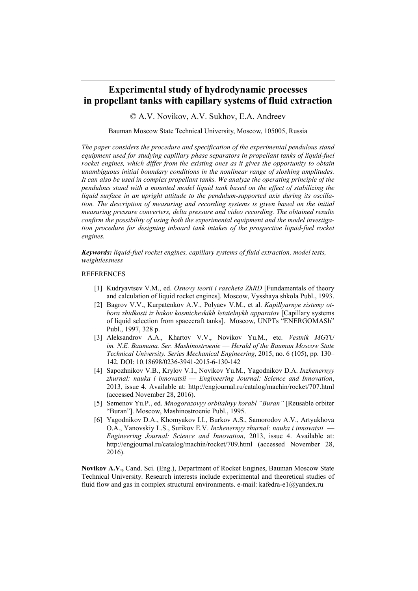## **Experimental study of hydrodynamic processes in propellant tanks with capillary systems of fluid extraction**

© A.V. Novikov, A.V. Sukhov, E.A. Andreev

Bauman Moscow State Technical University, Moscow, 105005, Russia

*The paper considers the procedure and specification of the experimental pendulous stand equipment used for studying capillary phase separators in propellant tanks of liquid-fuel rocket engines, which differ from the existing ones as it gives the opportunity to obtain unambiguous initial boundary conditions in the nonlinear range of sloshing amplitudes. It can also be used in complex propellant tanks. We analyze the operating principle of the pendulous stand with a mounted model liquid tank based on the effect of stabilizing the liquid surface in an upright attitude to the pendulum-supported axis during its oscillation. The description of measuring and recording systems is given based on the initial measuring pressure converters, delta pressure and video recording. The obtained results confirm the possibility of using both the experimental equipment and the model investigation procedure for designing inboard tank intakes of the prospective liquid-fuel rocket engines.*

*Keywords: liquid-fuel rocket engines, capillary systems of fluid extraction, model tests, weightlessness*

## **REFERENCES**

- [1] Kudryavtsev V.M., ed. *Osnovy teorii i rascheta ZhRD* [Fundamentals of theory and calculation of liquid rocket engines]. Moscow, Vysshaya shkola Publ., 1993.
- [2] Bagrov V.V., Kurpatenkov A.V., Polyaev V.M., et al. *Kapillyarnye sistemy otbora zhidkosti iz bakov kosmicheskikh letatelnykh apparatov* [Capillary systems of liquid selection from spacecraft tanks]. Moscow, UNPTs "ENERGOMASh" Publ., 1997, 328 p.
- [3] Aleksandrov A.A., Khartov V.V., Novikov Yu.M., etc. *Vestnik MGTU im. N.E. Baumana. Ser. Mashinostroenie* — *Herald of the Bauman Moscow State Technical University. Series Mechanical Engineering*, 2015, no. 6 (105), pp. 130– 142. DOI: 10.18698/0236-3941-2015-6-130-142
- [4] Sapozhnikov V.B., Krylov V.I., Novikov Yu.M., Yagodnikov D.A. *Inzhenernyy zhurnal: nauka i innovatsii* — *Engineering Journal: Science and Innovation*, 2013, issue 4. Available at: http://engjournal.ru/catalog/machin/rocket/707.html (accessed November 28, 2016).
- [5] Semenov Yu.P., ed. *Mnogorazovyy orbitalnyy korabl "Buran"* [Reusable orbiter "Buran"]. Moscow, Mashinostroenie Publ., 1995.
- [6] Yagodnikov D.A., Khomyakov I.I., Burkov A.S., Samorodov A.V., Artyukhova O.A., Yanovskiy L.S., Surikov E.V. *Inzhenernyy zhurnal: nauka i innovatsii* — *Engineering Journal: Science and Innovation*, 2013, issue 4. Available at: http://engjournal.ru/catalog/machin/rocket/709.html (accessed November 28, 2016).

**Novikov A.V.,** Cand. Sci. (Eng.), Department of Rocket Engines, Bauman Moscow State Technical University. Research interests include experimental and theoretical studies of fluid flow and gas in complex structural environments, e-mail: kafedra-e1 $\omega$  and ex. ru